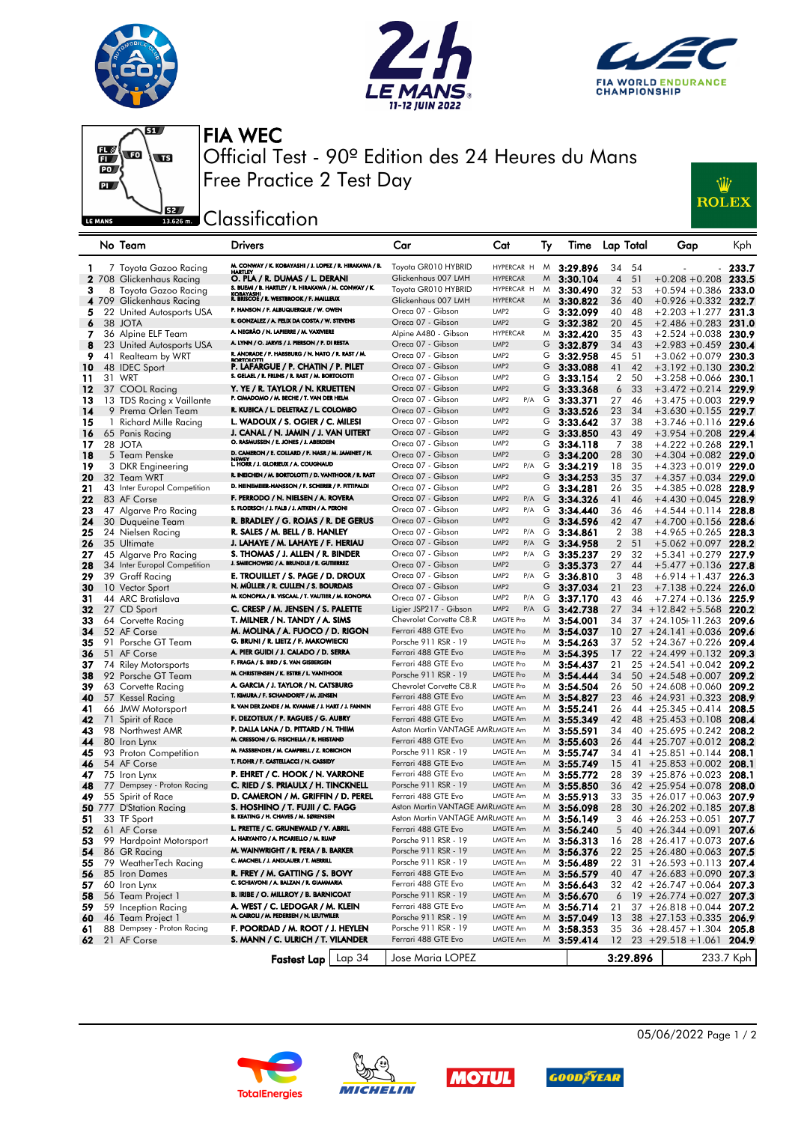







FIA WEC Official Test - 90º Edition des 24 Heures du Mans Free Practice 2 Test Day



**SE Classification** 

|    | No Team                      | Drivers                                                                      | Car                                    | Cat                     | Ту | Time           |                | Lap Total | Gap                                                        | Kph       |
|----|------------------------------|------------------------------------------------------------------------------|----------------------------------------|-------------------------|----|----------------|----------------|-----------|------------------------------------------------------------|-----------|
| 1  | 7 Toyota Gazoo Racing        | M. CONWAY / K. KOBAYASHI / J. LOPEZ / R. HIRAKAWA / B.                       | Toyota GR010 HYBRID                    | HYPERCAR H              | M  | 3:29.896       | 34             | 54        |                                                            | 233.7     |
|    | 2 708 Glickenhaus Racing     | HARTLEY<br>O. PLA / R. DUMAS / L. DERANI                                     | Glickenhaus 007 LMH                    | <b>HYPERCAR</b>         | M  | 3:30.104       | $\overline{4}$ | 51        | $+0.208 + 0.208$                                           | 233.5     |
| 3  | 8 Toyota Gazoo Racing        | S. BUEMI / B. HARTLEY / R. HIRAKAWA / M. CONWAY / K.                         | Toyota GR010 HYBRID                    | HYPERCAR H              | M  | 3:30.490       | 32             | 53        | $+0.594 +0.386$                                            | 233.0     |
|    | 4 709 Glickenhaus Racing     | KOBAYASHI<br>R. BRISCOE / R. WESTBROOK / F. MAILLEUX                         | Glickenhaus 007 LMH                    | <b>HYPERCAR</b>         | M  | 3:30.822       | 36             | 40        | $+0.926 +0.332$                                            | 232.7     |
| 5  | 22 United Autosports USA     | P. HANSON / F. ALBUQUERQUE / W. OWEN                                         | Oreca 07 - Gibson                      | LMP <sub>2</sub>        | G  | 3:32.099       | 40             | 48        | $+2.203 + 1.277$                                           | 231.3     |
| 6  | 38 JOTA                      | R. GONZALEZ / A. FELIX DA COSTA / W. STEVENS                                 | Oreca 07 - Gibson                      | LMP <sub>2</sub>        | G  | 3:32.382       | 20             | 45        | $+2.486 + 0.283$                                           | 231.0     |
| 7  | 36 Alpine ELF Team           | A. NEGRÃO / N. LAPIERRE / M. VAXIVIERE                                       | Alpine A480 - Gibson                   | <b>HYPERCAR</b>         | M  | 3:32.420       | 35             | 43        | $+2.524 + 0.038$                                           | 230.9     |
| 8  | 23 United Autosports USA     | A. LYNN / O. JARVIS / J. PIERSON / P. DI RESTA                               | Oreca 07 - Gibson                      | LMP <sub>2</sub>        | G  | 3:32.879       | 34             | 43        | $+2.983 + 0.459$                                           | 230.4     |
| 9  | 41 Realteam by WRT           | R. ANDRADE / F. HABSBURG / N. NATO / R. RAST / M.                            | Oreca 07 - Gibson                      | LMP <sub>2</sub>        | G  | 3:32.958       | 45             | 51        | $+3.062 + 0.079$                                           | 230.3     |
|    |                              | <b>BORTOLOTTI</b><br>P. LAFARGUE / P. CHATIN / P. PILET                      | Oreca 07 - Gibson                      | LMP <sub>2</sub>        | G  | 3:33.088       | 41             | 42        | $+3.192 + 0.130$                                           | 230.2     |
| 10 | 48 IDEC Sport                | S. GELAEL / R. FRIJNS / R. RAST / M. BORTOLOTTI                              | Oreca 07 - Gibson                      | LMP <sub>2</sub>        | G  |                |                |           | $+3.258 + 0.066$                                           |           |
| 11 | 31 WRT                       |                                                                              |                                        | LMP <sub>2</sub>        |    | 3:33.154       | $\overline{2}$ | 50        |                                                            | 230.1     |
| 12 | 37 COOL Racing               | Y. YE / R. TAYLOR / N. KRUETTEN<br>P. CIMADOMO / M. BECHE / T. VAN DER HELM  | Oreca 07 - Gibson<br>Oreca 07 - Gibson | LMP <sub>2</sub>        | G  | 3:33.368       | 6              | 33        | $+3.472 + 0.214$                                           | 229.9     |
| 13 | 13 TDS Racing x Vaillante    | R. KUBICA / L. DELETRAZ / L. COLOMBO                                         |                                        | P/A                     | G  | 3:33.371       | 27             | 46        | $+3.475 + 0.003$ 229.9                                     |           |
| 14 | 9 Prema Orlen Team           |                                                                              | Oreca 07 - Gibson                      | LMP <sub>2</sub>        | G  | 3:33.526       | 23             | 34        | $+3.630 + 0.155$                                           | 229.7     |
| 15 | 1 Richard Mille Racing       | L. WADOUX / S. OGIER / C. MILESI                                             | Oreca 07 - Gibson                      | LMP <sub>2</sub>        | G  | 3:33.642       | 37             | 38        | $+3.746 + 0.116$                                           | 229.6     |
| 16 | 65 Panis Racing              | J. CANAL / N. JAMIN / J. VAN UITERT<br>O. RASMUSSEN / E. JONES / J. ABERDEIN | Oreca 07 - Gibson                      | LMP <sub>2</sub>        | G  | 3:33.850       | 43             | 49        | $+3.954 +0.208$                                            | 229.4     |
| 17 | 28 JOTA                      | D. CAMERON / E. COLLARD / F. NASR / M. JAMINET / H.                          | Oreca 07 - Gibson                      | LMP <sub>2</sub>        | G  | 3:34.118       | 7              | 38        | $+4.222 + 0.268$                                           | 229.1     |
| 18 | 5 Team Penske                | NEWEY<br>L. HORR / J. GLORIEUX / A. COUGNAUD                                 | Oreca 07 - Gibson                      | LMP <sub>2</sub>        | G  | 3:34.200       | 28             | 30        | $+4.304 + 0.082$ 229.0                                     |           |
| 19 | 3 DKR Engineering            |                                                                              | Oreca 07 - Gibson                      | LMP <sub>2</sub><br>P/A | G  | 3:34.219       | 18             | 35        | $+4.323 + 0.019$                                           | 229.0     |
| 20 | 32 Team WRT                  | R. INEICHEN / M. BORTOLOTTI / D. VANTHOOR / R. RAST                          | Oreca 07 - Gibson                      | LMP <sub>2</sub>        | G  | 3:34.253       | 35             | 37        | $+4.357 +0.034$                                            | 229.0     |
| 21 | 43 Inter Europol Competition | D. HEINEMEIER-HANSSON / F. SCHERER / P. FITTIPALDI                           | Oreca 07 - Gibson                      | LMP <sub>2</sub>        | G  | 3:34.281       | 26             | 35        | $+4.385 + 0.028$                                           | 228.9     |
| 22 | 83 AF Corse                  | F. PERRODO / N. NIELSEN / A. ROVERA                                          | Oreca 07 - Gibson                      | LMP <sub>2</sub><br>P/A | G  | 3:34.326       | 41             | 46        | $+4.430 + 0.045$                                           | 228.9     |
| 23 | 47 Algarve Pro Racing        | S. FLOERSCH / J. FALB / J. AITKEN / A. PERONI                                | Oreca 07 - Gibson                      | LMP <sub>2</sub><br>P/A | G  | 3:34.440       | 36             | 46        | $+4.544 + 0.114$                                           | 228.8     |
| 24 | 30 Duqueine Team             | R. BRADLEY / G. ROJAS / R. DE GERUS                                          | Oreca 07 - Gibson                      | LMP <sub>2</sub>        | G  | 3:34.596       | 42             | 47        | $+4.700 + 0.156$                                           | 228.6     |
| 25 | 24 Nielsen Racing            | R. SALES / M. BELL / B. HANLEY                                               | Oreca 07 - Gibson                      | LMP <sub>2</sub><br>P/A | G  | 3:34.861       | 2              | 38        | $+4.965 +0.265$                                            | 228.3     |
| 26 | 35 Ultimate                  | J. LAHAYE / M. LAHAYE / F. HERIAU                                            | Oreca 07 - Gibson                      | LMP <sub>2</sub><br>P/A | G  | 3:34.958       | $\overline{2}$ | 51        | $+5.062 + 0.097$                                           | 228.2     |
| 27 | 45 Algarve Pro Racing        | S. THOMAS / J. ALLEN / R. BINDER                                             | Oreca 07 - Gibson                      | LMP <sub>2</sub><br>P/A | G  | 3:35.237       | 29             | 32        | $+5.341 + 0.279$                                           | 227.9     |
| 28 | 34 Inter Europol Competition | J. SMIECHOWSKI / A. BRUNDLE / E. GUTIERREZ                                   | Oreca 07 - Gibson                      | LMP <sub>2</sub>        | G  | 3:35.373       | 27             | 44        | $+5.477 + 0.136$                                           | 227.8     |
| 29 | 39 Graff Racing              | E. TROUILLET / S. PAGE / D. DROUX                                            | Oreca 07 - Gibson                      | LMP <sub>2</sub><br>P/A | G  | 3:36.810       | 3              | 48        | $+6.914 + 1.437$                                           | 226.3     |
| 30 | 10 Vector Sport              | N. MÜLLER / R. CULLEN / S. BOURDAIS                                          | Oreca 07 - Gibson                      | LMP <sub>2</sub>        | G  | 3:37.034       | 21             | 23        | $+7.138 + 0.224$                                           | 226.0     |
| 31 | 44 ARC Bratislava            | M. KONOPKA / B. VISCAAL / T. VAUTIER / M. KONOPKA                            | Oreca 07 - Gibson                      | LMP <sub>2</sub><br>P/A | G  | 3:37.170       | 43             | 46        | $+7.274 + 0.136$                                           | 225.9     |
| 32 | 27 CD Sport                  | C. CRESP / M. JENSEN / S. PALETTE                                            | Ligier JSP217 - Gibson                 | LMP <sub>2</sub><br>P/A | G  | 3:42.738       | 27             |           | $34 + 12.842 + 5.568$                                      | 220.2     |
| 33 | 64 Corvette Racing           | T. MILNER / N. TANDY / A. SIMS                                               | Chevrolet Corvette C8.R                | <b>LMGTE Pro</b>        | M  | 3:54.001       | 34             |           | $37 + 24.105 + 11.263$                                     | 209.6     |
| 34 | 52 AF Corse                  | M. MOLINA / A. FUOCO / D. RIGON                                              | Ferrari 488 GTE Evo                    | <b>LMGTE Pro</b>        | M  | 3:54.037       | 10             |           | $27 + 24.141 + 0.036$                                      | 209.6     |
| 35 | 91 Porsche GT Team           | G. BRUNI / R. LIETZ / F. MAKOWIECKI                                          | Porsche 911 RSR - 19                   | LMGTE Pro               | M  | 3:54.263       | 37             |           | $52 + 24.367 + 0.226$                                      | 209.4     |
| 36 | 51 AF Corse                  | A. PIER GUIDI / J. CALADO / D. SERRA                                         | Ferrari 488 GTE Evo                    | <b>LMGTE Pro</b>        | M  | 3:54.395       | 17             |           | $22 + 24.499 + 0.132$                                      | 209.3     |
| 37 | 74 Riley Motorsports         | F. FRAGA / S. BIRD / S. VAN GISBERGEN                                        | Ferrari 488 GTE Evo                    | <b>LMGTE Pro</b>        | M  | 3:54.437       | 21             |           | $25 + 24.541 + 0.042$                                      | 209.2     |
| 38 | 92 Porsche GT Team           | M. CHRISTENSEN / K. ESTRE / L. VANTHOOR                                      | Porsche 911 RSR - 19                   | LMGTE Pro               | M  | 3:54.444       | 34             |           | $50 + 24.548 + 0.007$                                      | 209.2     |
| 39 | 63 Corvette Racing           | A. GARCIA / J. TAYLOR / N. CATSBURG                                          | Chevrolet Corvette C8.R                | LMGTE Pro               | M  | 3:54.504       | 26             |           | $50 + 24.608 + 0.060$                                      | 209.2     |
| 40 | 57 Kessel Racing             | T. KIMURA / F. SCHANDORFF / M. JENSEN                                        | Ferrari 488 GTE Evo                    | LMGTE Am                | M  | 3:54.827       | 23             |           | $46 + 24.931 + 0.323$                                      | 208.9     |
| 41 | 66 JMW Motorsport            | R. VAN DER ZANDE / M. KVAMME / J. HART / J. FANNIN                           | Ferrari 488 GTE Evo                    | <b>LMGTE Am</b>         | M  | 3:55.241       | 26             |           | $44 + 25.345 + 0.414$                                      | 208.5     |
| 42 | 71 Spirit of Race            | F. DEZOTEUX / P. RAGUES / G. AUBRY                                           | Ferrari 488 GTE Evo                    | LMGTE Am                | M  | 3:55.349       | 42             |           | $48 + 25.453 + 0.108$                                      | 208.4     |
| 43 | 98 Northwest AMR             | P. DALLA LANA / D. PITTARD / N. THIM                                         | Aston Martin VANTAGE AMRLMGTE Am       |                         | M  | 3:55.591       | 34             |           | $40 + 25.695 + 0.242$                                      | 208.2     |
| 44 | 80 Iron Lynx                 | M. CRESSONI / G. FISICHELLA / R. HEISTAND                                    | Ferrari 488 GTE Evo                    | LMGTE Am                | M  | 3:55.603       | 26             |           | $44 + 25.707 + 0.012$                                      | 208.2     |
| 45 | 93 Proton Competition        | M. FASSBENDER / M. CAMPBELL / Z. ROBICHON                                    | Porsche 911 RSR - 19                   | <b>LMGTE Am</b>         | M  | 3:55.747       | 34             |           | $41 + 25.851 + 0.144$                                      | 208.1     |
| 46 | 54 AF Corse                  | T. FLOHR / F. CASTELLACCI / N. CASSIDY                                       | Ferrari 488 GTE Evo                    | LMGTE Am                | M  | 3:55.749       | 15             |           | $41 + 25.853 + 0.002$                                      | 208.1     |
| 47 | 75 Iron Lynx                 | P. EHRET / C. HOOK / N. VARRONE                                              | Ferrari 488 GTE Evo                    | LMGTE Am                | M  | 3:55.772       | 28             |           | $39 + 25.876 + 0.023$                                      | 208.1     |
| 48 | 77 Dempsey - Proton Racing   | C. RIED / S. PRIAULX / H. TINCKNELL                                          | Porsche 911 RSR - 19                   | LMGTE Am                | M  | 3:55.850       | 36             |           | $42 + 25.954 + 0.078$                                      | 208.0     |
| 49 | 55 Spirit of Race            | D. CAMERON / M. GRIFFIN / D. PEREL                                           | Ferrari 488 GTE Evo                    | LMGTE Am                | M  | 3:55.913       | 33             |           | $35 + 26.017 + 0.063$                                      | 207.9     |
| 50 | 777 D'Station Racing         | S. HOSHINO / T. FUJII / C. FAGG                                              | Aston Martin VANTAGE AMRLMGTE Am       |                         | M  | 3:56.098       | 28             |           | $30 + 26.202 + 0.185$                                      | 207.8     |
| 51 | 33 TF Sport                  | B. KEATING / H. CHAVES / M. SØRENSEN                                         | Aston Martin VANTAGE AMRLMGTE Am       |                         | M  | 3:56.149       | 3              |           | $46 + 26.253 + 0.051$                                      | 207.7     |
| 52 | 61 AF Corse                  | L. PRETTE / C. GRUNEWALD / V. ABRIL                                          | Ferrari 488 GTE Evo                    | <b>LMGTE Am</b>         | M  | 3:56.240       | 5              |           | $40 + 26.344 + 0.091$                                      | 207.6     |
| 53 | 99 Hardpoint Motorsport      | A. HARYANTO / A. PICARIELLO / M. RUMP                                        | Porsche 911 RSR - 19                   | LMGTE Am                | M  | 3:56.313       | 16             |           | $28 + 26.417 + 0.073$ 207.6                                |           |
| 54 | 86 GR Racing                 | M. WAINWRIGHT / R. PERA / B. BARKER                                          | Porsche 911 RSR - 19                   | LMGTE Am                | M  | 3:56.376       | 22             |           | $25 + 26.480 + 0.063$ 207.5                                |           |
| 55 | 79 WeatherTech Racing        | C. MACNEIL / J. ANDLAUER / T. MERRILL                                        | Porsche 911 RSR - 19                   | LMGTE Am                | M  | 3:56.489       | 22             |           | $31 + 26.593 + 0.113$ 207.4                                |           |
|    | 85 Iron Dames                | R. FREY / M. GATTING / S. BOVY                                               | Ferrari 488 GTE Evo                    | LMGTE Am                |    |                | 40             |           |                                                            |           |
| 56 |                              | C. SCHIAVONI / A. BALZAN / R. GIAMMARIA                                      | Ferrari 488 GTE Evo                    | LMGTE Am                |    | $M$ 3:56.579   |                |           | $47 + 26.683 + 0.090$ 207.3                                |           |
| 57 | 60 Iron Lynx                 | <b>B. IRIBE / O. MILLROY / B. BARNICOAT</b>                                  | Porsche 911 RSR - 19                   | LMGTE Am                | M  | 3:56.643       | 32             |           | $42 + 26.747 + 0.064$ 207.3                                |           |
| 58 | 56 Team Project 1            | A. WEST / C. LEDOGAR / M. KLEIN                                              | Ferrari 488 GTE Evo                    | LMGTE Am                |    | $M$ 3:56.670   | 6              |           | $19 + 26.774 + 0.027$ 207.3                                |           |
| 59 | 59 Inception Racing          | M. CAIROLI / M. PEDERSEN / N. LEUTWILER                                      | Porsche 911 RSR - 19                   | LMGTE Am                | M  | 3:56.714       | 21             |           | $37 + 26.818 + 0.044$ 207.2<br>$38 + 27.153 + 0.335$ 206.9 |           |
| 60 | 46 Team Project 1            | F. POORDAD / M. ROOT / J. HEYLEN                                             | Porsche 911 RSR - 19                   | LMGTE Am                |    | M 3:57.049     | 13             |           |                                                            |           |
| 61 | 88 Dempsey - Proton Racing   | S. MANN / C. ULRICH / T. VILANDER                                            | Ferrari 488 GTE Evo                    | LMGTE Am                |    | $M$ 3:58.353   | 35             |           | $36 + 28.457 + 1.304$ 205.8                                |           |
| 62 | 21 AF Corse                  |                                                                              |                                        |                         |    | $M_{3:59.414}$ | 12             |           | $23 + 29.518 + 1.061$                                      | 204.9     |
|    |                              | <b>Fastest Lap</b>   Lap 34                                                  | Jose Maria LOPEZ                       |                         |    |                |                | 3:29.896  |                                                            | 233.7 Kph |
|    |                              |                                                                              |                                        |                         |    |                |                |           |                                                            |           |